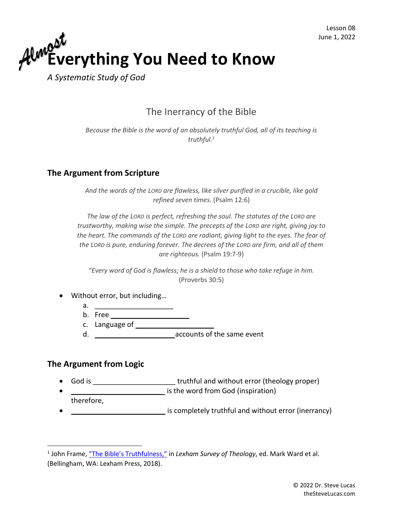

*A Systematic Study of God*

## The Inerrancy of the Bible

*Because the Bible is the word of an absolutely truthful God, all of its teaching is truthful.<sup>1</sup>*

## **The Argument from Scripture**

*And the words of the LORD are flawless, like silver purified in a crucible, like gold refined seven times.* (Psalm 12:6)

*The law of the LORD is perfect, refreshing the soul. The statutes of the LORD are trustworthy, making wise the simple. The precepts of the LORD are right, giving joy to the heart. The commands of the LORD are radiant, giving light to the eyes. The fear of the LORD is pure, enduring forever. The decrees of the LORD are firm, and all of them are righteous.* (Psalm 19:7-9)

*"Every word of God is flawless; he is a shield to those who take refuge in him.* (Proverbs 30:5)

- Without error, but including...
	- $a.$
	- b. Free
	- c. Language of
	- d. \_\_\_\_\_\_\_\_\_\_\_\_\_\_\_\_\_\_\_\_ accounts of the same event

## **The Argument from Logic**

- God is **Fig. 2018 God is** truthful and without error (theology proper)
- is the word from God (inspiration) therefore,
- **Fig. 2.1** is completely truthful and without error (inerrancy)

<sup>&</sup>lt;sup>1</sup> John Frame, <u>["The Bible's Truthfulness,"](https://ref.ly/logosres/lexham-st-ontology?ref=LSTO.BibleTruthfulness&off=27&ctx=le%E2%80%99s+Truthfulness%0a+%0a~Because+the+Bible+is)</u> in *Lexham Survey of Theology*, ed. Mark Ward et al. (Bellingham, WA: Lexham Press, 2018).